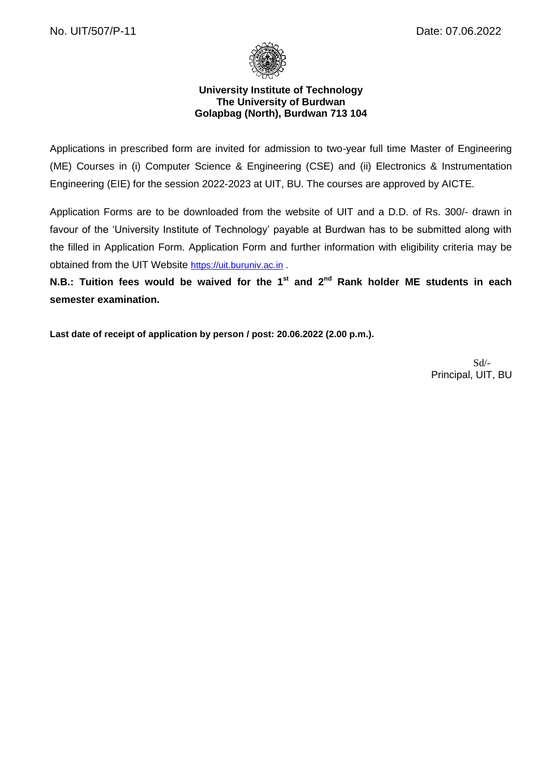

### **University Institute of Technology The University of Burdwan Golapbag (North), Burdwan 713 104**

Applications in prescribed form are invited for admission to two-year full time Master of Engineering (ME) Courses in (i) Computer Science & Engineering (CSE) and (ii) Electronics & Instrumentation Engineering (EIE) for the session 2022-2023 at UIT, BU. The courses are approved by AICTE.

Application Forms are to be downloaded from the website of UIT and a D.D. of Rs. 300/- drawn in favour of the 'University Institute of Technology' payable at Burdwan has to be submitted along with the filled in Application Form. Application Form and further information with eligibility criteria may be obtained from the UIT Website [https://uit.buruniv.ac.in](https://uit.buruniv.ac.in/).

**N.B.: Tuition fees would be waived for the 1<sup>st</sup> and 2<sup>nd</sup> Rank holder ME students in each semester examination.**

**Last date of receipt of application by person / post: 20.06.2022 (2.00 p.m.).**

Sd/- Principal, UIT, BU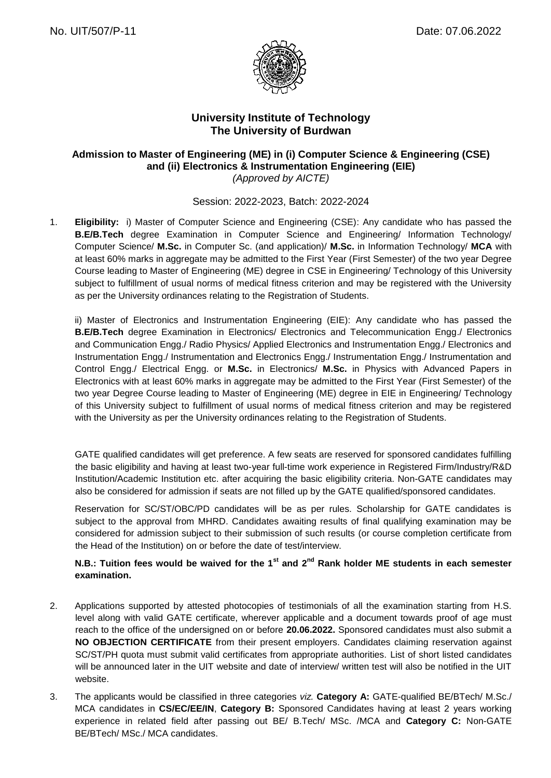

## **University Institute of Technology The University of Burdwan**

# **Admission to Master of Engineering (ME) in (i) Computer Science & Engineering (CSE) and (ii) Electronics & Instrumentation Engineering (EIE)**

*(Approved by AICTE)*

Session: 2022-2023, Batch: 2022-2024

1. **Eligibility:** i) Master of Computer Science and Engineering (CSE): Any candidate who has passed the **B.E/B.Tech** degree Examination in Computer Science and Engineering/ Information Technology/ Computer Science/ **M.Sc.** in Computer Sc. (and application)/ **M.Sc.** in Information Technology/ **MCA** with at least 60% marks in aggregate may be admitted to the First Year (First Semester) of the two year Degree Course leading to Master of Engineering (ME) degree in CSE in Engineering/ Technology of this University subject to fulfillment of usual norms of medical fitness criterion and may be registered with the University as per the University ordinances relating to the Registration of Students.

ii) Master of Electronics and Instrumentation Engineering (EIE): Any candidate who has passed the **B.E/B.Tech** degree Examination in Electronics/ Electronics and Telecommunication Engg./ Electronics and Communication Engg./ Radio Physics/ Applied Electronics and Instrumentation Engg./ Electronics and Instrumentation Engg./ Instrumentation and Electronics Engg./ Instrumentation Engg./ Instrumentation and Control Engg./ Electrical Engg. or **M.Sc.** in Electronics/ **M.Sc.** in Physics with Advanced Papers in Electronics with at least 60% marks in aggregate may be admitted to the First Year (First Semester) of the two year Degree Course leading to Master of Engineering (ME) degree in EIE in Engineering/ Technology of this University subject to fulfillment of usual norms of medical fitness criterion and may be registered with the University as per the University ordinances relating to the Registration of Students.

GATE qualified candidates will get preference. A few seats are reserved for sponsored candidates fulfilling the basic eligibility and having at least two-year full-time work experience in Registered Firm/Industry/R&D Institution/Academic Institution etc. after acquiring the basic eligibility criteria. Non-GATE candidates may also be considered for admission if seats are not filled up by the GATE qualified/sponsored candidates.

Reservation for SC/ST/OBC/PD candidates will be as per rules. Scholarship for GATE candidates is subject to the approval from MHRD. Candidates awaiting results of final qualifying examination may be considered for admission subject to their submission of such results (or course completion certificate from the Head of the Institution) on or before the date of test/interview.

## **N.B.: Tuition fees would be waived for the 1st and 2nd Rank holder ME students in each semester examination.**

- 2. Applications supported by attested photocopies of testimonials of all the examination starting from H.S. level along with valid GATE certificate, wherever applicable and a document towards proof of age must reach to the office of the undersigned on or before **20.06.2022.** Sponsored candidates must also submit a **NO OBJECTION CERTIFICATE** from their present employers. Candidates claiming reservation against SC/ST/PH quota must submit valid certificates from appropriate authorities. List of short listed candidates will be announced later in the UIT website and date of interview/ written test will also be notified in the UIT website.
- 3. The applicants would be classified in three categories *viz.* **Category A:** GATE-qualified BE/BTech/ M.Sc./ MCA candidates in **CS/EC/EE/IN**, **Category B:** Sponsored Candidates having at least 2 years working experience in related field after passing out BE/ B.Tech/ MSc. /MCA and **Category C:** Non-GATE BE/BTech/ MSc./ MCA candidates.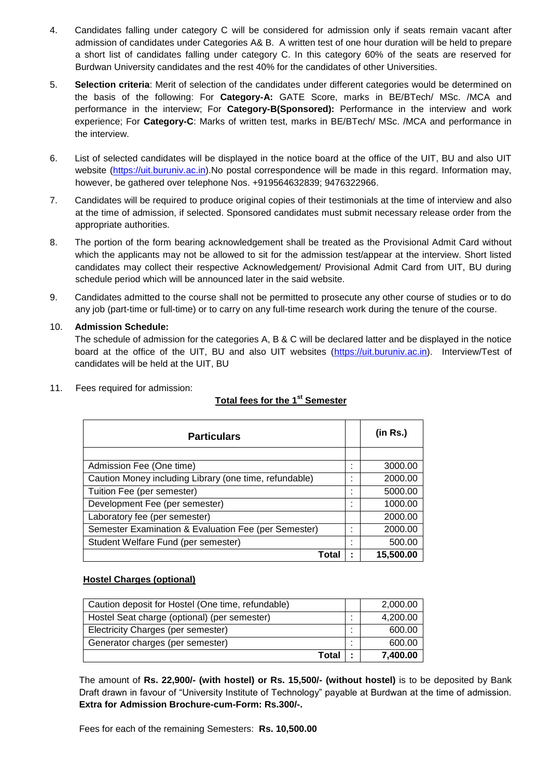- 4. Candidates falling under category C will be considered for admission only if seats remain vacant after admission of candidates under Categories A& B. A written test of one hour duration will be held to prepare a short list of candidates falling under category C. In this category 60% of the seats are reserved for Burdwan University candidates and the rest 40% for the candidates of other Universities.
- 5. **Selection criteria**: Merit of selection of the candidates under different categories would be determined on the basis of the following: For **Category-A:** GATE Score, marks in BE/BTech/ MSc. /MCA and performance in the interview; For **Category-B(Sponsored):** Performance in the interview and work experience; For **Category-C**: Marks of written test, marks in BE/BTech/ MSc. /MCA and performance in the interview.
- 6. List of selected candidates will be displayed in the notice board at the office of the UIT, BU and also UIT website [\(https://uit.buruniv.ac.in\)](https://uit.buruniv.ac.in/).No postal correspondence will be made in this regard. Information may, however, be gathered over telephone Nos. +919564632839; 9476322966.
- 7. Candidates will be required to produce original copies of their testimonials at the time of interview and also at the time of admission, if selected. Sponsored candidates must submit necessary release order from the appropriate authorities.
- 8. The portion of the form bearing acknowledgement shall be treated as the Provisional Admit Card without which the applicants may not be allowed to sit for the admission test/appear at the interview. Short listed candidates may collect their respective Acknowledgement/ Provisional Admit Card from UIT, BU during schedule period which will be announced later in the said website.
- 9. Candidates admitted to the course shall not be permitted to prosecute any other course of studies or to do any job (part-time or full-time) or to carry on any full-time research work during the tenure of the course.

### 10. **Admission Schedule:**

The schedule of admission for the categories A, B & C will be declared latter and be displayed in the notice board at the office of the UIT, BU and also UIT websites [\(https://uit.buruniv.ac.in\)](https://uit.buruniv.ac.in/). Interview/Test of candidates will be held at the UIT, BU

11. Fees required for admission:

# **Total fees for the 1st Semester**

| <b>Particulars</b>                                     |                          | (in Rs.)  |
|--------------------------------------------------------|--------------------------|-----------|
|                                                        |                          |           |
| Admission Fee (One time)                               |                          | 3000.00   |
| Caution Money including Library (one time, refundable) | $\overline{\phantom{a}}$ | 2000.00   |
| Tuition Fee (per semester)                             |                          | 5000.00   |
| Development Fee (per semester)                         |                          | 1000.00   |
| Laboratory fee (per semester)                          |                          | 2000.00   |
| Semester Examination & Evaluation Fee (per Semester)   | ٠                        | 2000.00   |
| Student Welfare Fund (per semester)                    |                          | 500.00    |
| Total                                                  |                          | 15,500.00 |

### **Hostel Charges (optional)**

| Total                                             | 7.400.00 |
|---------------------------------------------------|----------|
| Generator charges (per semester)                  | 600.00   |
| Electricity Charges (per semester)                | 600.00   |
| Hostel Seat charge (optional) (per semester)      | 4,200.00 |
| Caution deposit for Hostel (One time, refundable) | 2,000.00 |

The amount of **Rs. 22,900/- (with hostel) or Rs. 15,500/- (without hostel)** is to be deposited by Bank Draft drawn in favour of "University Institute of Technology" payable at Burdwan at the time of admission. **Extra for Admission Brochure-cum-Form: Rs.300/-.**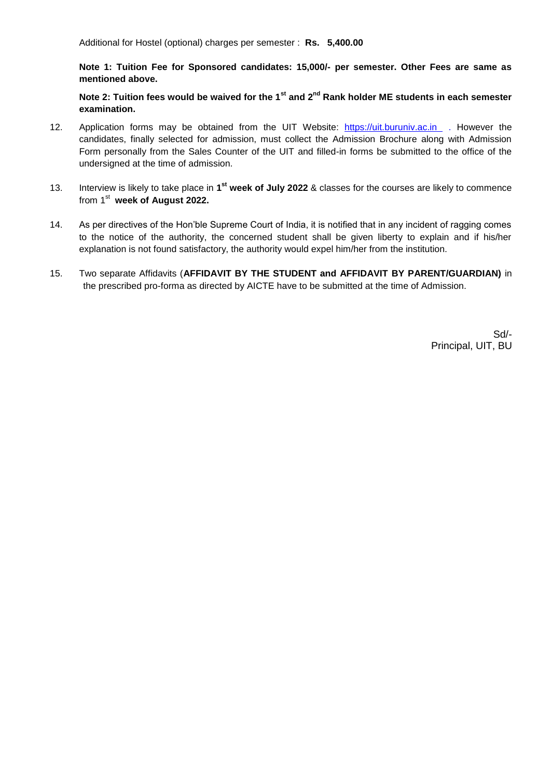**Note 1: Tuition Fee for Sponsored candidates: 15,000/- per semester. Other Fees are same as mentioned above.** 

**Note 2: Tuition fees would be waived for the 1st and 2nd Rank holder ME students in each semester examination.**

- 12. Application forms may be obtained from the UIT Website: [https://uit.buruniv.ac.in](https://uit.buruniv.ac.in/) . However the candidates, finally selected for admission, must collect the Admission Brochure along with Admission Form personally from the Sales Counter of the UIT and filled-in forms be submitted to the office of the undersigned at the time of admission.
- 13. Interview is likely to take place in 1<sup>st</sup> week of July 2022 & classes for the courses are likely to commence from 1 st **week of August 2022.**
- 14. As per directives of the Hon'ble Supreme Court of India, it is notified that in any incident of ragging comes to the notice of the authority, the concerned student shall be given liberty to explain and if his/her explanation is not found satisfactory, the authority would expel him/her from the institution.
- 15. Two separate Affidavits (**AFFIDAVIT BY THE STUDENT and AFFIDAVIT BY PARENT/GUARDIAN)** in the prescribed pro-forma as directed by AICTE have to be submitted at the time of Admission.

Sd/- Principal, UIT, BU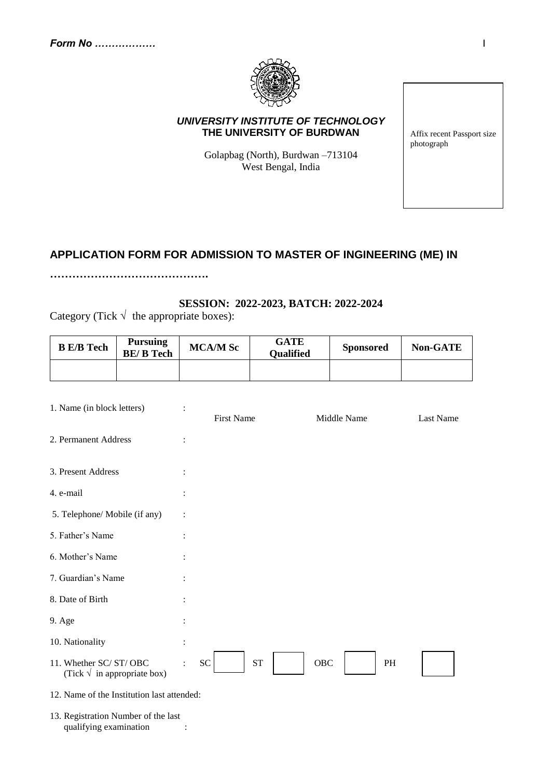

### *UNIVERSITY INSTITUTE OF TECHNOLOGY*  **THE UNIVERSITY OF BURDWAN**

Golapbag (North), Burdwan –713104 West Bengal, India

Affix recent Passport size photograph

# **APPLICATION FORM FOR ADMISSION TO MASTER OF INGINEERING (ME) IN**

**…………………………………….**

### **SESSION: 2022-2023, BATCH: 2022-2024**

Category (Tick  $\sqrt{\ }$  the appropriate boxes):

| <b>B</b> E/B Tech | <b>Pursuing</b><br><b>BE/B</b> Tech | <b>MCA/M Sc</b> | GATE<br><b>Qualified</b> | <b>Sponsored</b> | <b>Non-GATE</b> |
|-------------------|-------------------------------------|-----------------|--------------------------|------------------|-----------------|
|                   |                                     |                 |                          |                  |                 |

| 1. Name (in block letters)                                     |                | <b>First Name</b> | Middle Name |           | Last Name |
|----------------------------------------------------------------|----------------|-------------------|-------------|-----------|-----------|
| 2. Permanent Address                                           | $\ddot{\cdot}$ |                   |             |           |           |
| 3. Present Address                                             |                |                   |             |           |           |
| 4. e-mail                                                      |                |                   |             |           |           |
| 5. Telephone/ Mobile (if any)                                  |                |                   |             |           |           |
| 5. Father's Name                                               |                |                   |             |           |           |
| 6. Mother's Name                                               |                |                   |             |           |           |
| 7. Guardian's Name                                             |                |                   |             |           |           |
| 8. Date of Birth                                               |                |                   |             |           |           |
| 9. Age                                                         |                |                   |             |           |           |
| 10. Nationality                                                |                |                   |             |           |           |
| 11. Whether SC/ST/OBC<br>(Tick $\sqrt{\ }$ in appropriate box) | ${\rm SC}$     | ${\rm ST}$        | OBC         | <b>PH</b> |           |
| 12. Name of the Institution last attended:                     |                |                   |             |           |           |
| 13. Registration Number of the last<br>qualifying examination  |                |                   |             |           |           |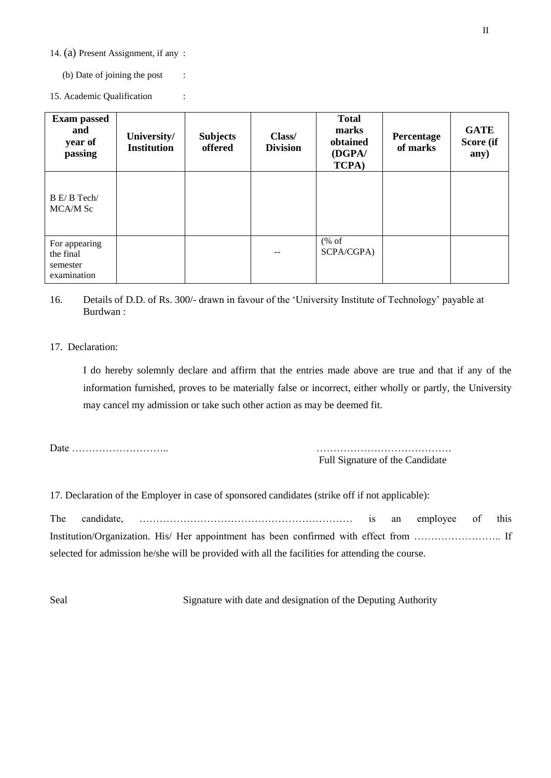14. (a) Present Assignment, if any :

(b) Date of joining the post :

15. Academic Qualification :

| <b>Exam passed</b><br>and<br>year of<br>passing       | University/<br><b>Institution</b> | <b>Subjects</b><br>offered | Class/<br><b>Division</b> | <b>Total</b><br>marks<br>obtained<br>(DGPA/<br><b>TCPA</b> ) | Percentage<br>of marks | <b>GATE</b><br>Score (if<br>any) |
|-------------------------------------------------------|-----------------------------------|----------------------------|---------------------------|--------------------------------------------------------------|------------------------|----------------------------------|
| B E/B Tech/<br>MCA/M Sc                               |                                   |                            |                           |                                                              |                        |                                  |
| For appearing<br>the final<br>semester<br>examination |                                   |                            | $- -$                     | % of<br>SCPA/CGPA)                                           |                        |                                  |

16. Details of D.D. of Rs. 300/- drawn in favour of the 'University Institute of Technology' payable at Burdwan :

#### 17. Declaration:

I do hereby solemnly declare and affirm that the entries made above are true and that if any of the information furnished, proves to be materially false or incorrect, either wholly or partly, the University may cancel my admission or take such other action as may be deemed fit.

Date ……………………….. ………………………………….

Full Signature of the Candidate

17. Declaration of the Employer in case of sponsored candidates (strike off if not applicable):

The candidate, ……………………………………………………… is an employee of this Institution/Organization. His/ Her appointment has been confirmed with effect from …………………….. If selected for admission he/she will be provided with all the facilities for attending the course.

Seal Signature with date and designation of the Deputing Authority